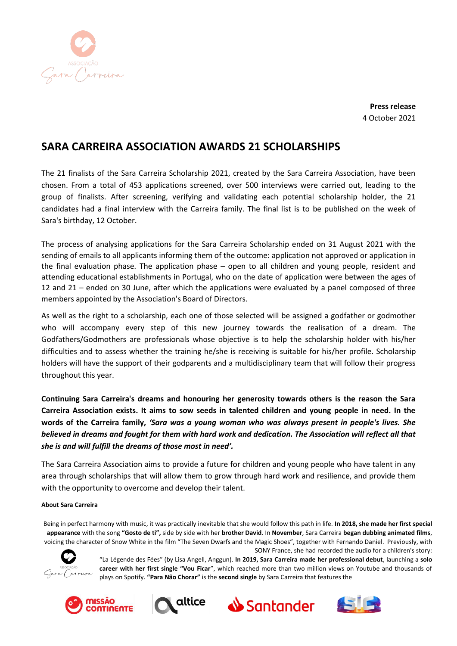

## **SARA CARREIRA ASSOCIATION AWARDS 21 SCHOLARSHIPS**

The 21 finalists of the Sara Carreira Scholarship 2021, created by the Sara Carreira Association, have been chosen. From a total of 453 applications screened, over 500 interviews were carried out, leading to the group of finalists. After screening, verifying and validating each potential scholarship holder, the 21 candidates had a final interview with the Carreira family. The final list is to be published on the week of Sara's birthday, 12 October.

The process of analysing applications for the Sara Carreira Scholarship ended on 31 August 2021 with the sending of emails to all applicants informing them of the outcome: application not approved or application in the final evaluation phase. The application phase – open to all children and young people, resident and attending educational establishments in Portugal, who on the date of application were between the ages of 12 and 21 – ended on 30 June, after which the applications were evaluated by a panel composed of three members appointed by the Association's Board of Directors.

As well as the right to a scholarship, each one of those selected will be assigned a godfather or godmother who will accompany every step of this new journey towards the realisation of a dream. The Godfathers/Godmothers are professionals whose objective is to help the scholarship holder with his/her difficulties and to assess whether the training he/she is receiving is suitable for his/her profile. Scholarship holders will have the support of their godparents and a multidisciplinary team that will follow their progress throughout this year.

**Continuing Sara Carreira's dreams and honouring her generosity towards others is the reason the Sara Carreira Association exists. It aims to sow seeds in talented children and young people in need. In the words of the Carreira family,** *'Sara was a young woman who was always present in people's lives. She believed in dreams and fought for them with hard work and dedication. The Association will reflect all that she is and will fulfill the dreams of those most in need'.*

The Sara Carreira Association aims to provide a future for children and young people who have talent in any area through scholarships that will allow them to grow through hard work and resilience, and provide them with the opportunity to overcome and develop their talent.

## **About Sara Carreira**

Being in perfect harmony with music, it was practically inevitable that she would follow this path in life. **In 2018, she made her first special appearance** with the song **"Gosto de ti",** side by side with her **brother David**. In **November**, Sara Carreira **began dubbing animated films**, voicing the character of Snow White in the film "The Seven Dwarfs and the Magic Shoes", together with Fernando Daniel. Previously, with



SONY France, she had recorded the audio for a children's story: "La Légende des Fées" (by Lisa Angell, Anggun). **In 2019, Sara Carreira made her professional debut**, launching a **solo career with her first single "Vou Ficar**", which reached more than two million views on Youtube and thousands of plays on Spotify. **"Para Não Chorar"** is the **second single** by Sara Carreira that features the